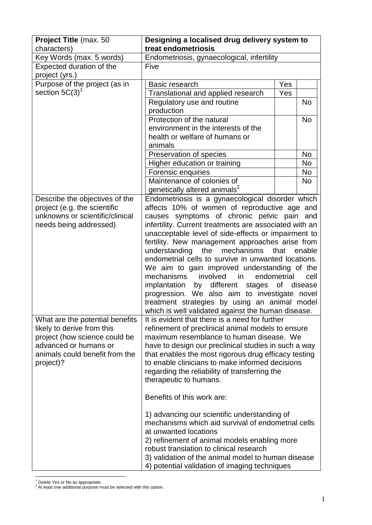| Project Title (max. 50                      | Designing a localised drug delivery system to                                                           |             |                 |
|---------------------------------------------|---------------------------------------------------------------------------------------------------------|-------------|-----------------|
| characters)<br>Key Words (max. 5 words)     | treat endometriosis<br>Endometriosis, gynaecological, infertility                                       |             |                 |
| Expected duration of the                    | Five                                                                                                    |             |                 |
| project (yrs.)                              |                                                                                                         |             |                 |
| Purpose of the project (as in               | Basic research                                                                                          | Yes         |                 |
| section $5C(3)^1$                           | Translational and applied research                                                                      | Yes         |                 |
|                                             | Regulatory use and routine                                                                              |             | <b>No</b>       |
|                                             | production                                                                                              |             |                 |
|                                             | Protection of the natural                                                                               |             | <b>No</b>       |
|                                             | environment in the interests of the                                                                     |             |                 |
|                                             | health or welfare of humans or                                                                          |             |                 |
|                                             | animals                                                                                                 |             |                 |
|                                             | Preservation of species                                                                                 |             | No              |
|                                             | Higher education or training                                                                            |             | <b>No</b>       |
|                                             | Forensic enquiries<br>Maintenance of colonies of                                                        |             | No<br><b>No</b> |
|                                             | genetically altered animals <sup>2</sup>                                                                |             |                 |
| Describe the objectives of the              | Endometriosis is a gynaecological disorder which                                                        |             |                 |
| project (e.g. the scientific                | affects 10% of women of reproductive age and                                                            |             |                 |
| unknowns or scientific/clinical             | causes symptoms of chronic pelvic pain and                                                              |             |                 |
| needs being addressed)                      | infertility. Current treatments are associated with an                                                  |             |                 |
|                                             | unacceptable level of side-effects or impairment to                                                     |             |                 |
|                                             | fertility. New management approaches arise from                                                         |             |                 |
|                                             | the<br>mechanisms<br>understanding                                                                      | that        | enable          |
|                                             | endometrial cells to survive in unwanted locations.                                                     |             |                 |
|                                             | We aim to gain improved understanding of the<br>mechanisms<br>involved<br>in                            | endometrial | cell            |
|                                             | implantation<br>by different<br>stages                                                                  | Οf          | disease         |
|                                             | progression. We also aim to investigate novel                                                           |             |                 |
|                                             | treatment strategies by using an animal model                                                           |             |                 |
|                                             | which is well validated against the human disease.                                                      |             |                 |
| What are the potential benefits             | It is evident that there is a need for further                                                          |             |                 |
| likely to derive from this                  | refinement of preclinical animal models to ensure                                                       |             |                 |
| project (how science could be               | maximum resemblance to human disease. We                                                                |             |                 |
| advanced or humans or                       | have to design our preclinical studies in such a way                                                    |             |                 |
| animals could benefit from the<br>project)? | that enables the most rigorous drug efficacy testing<br>to enable clinicians to make informed decisions |             |                 |
|                                             | regarding the reliability of transferring the                                                           |             |                 |
|                                             | therapeutic to humans.                                                                                  |             |                 |
|                                             |                                                                                                         |             |                 |
|                                             | Benefits of this work are:                                                                              |             |                 |
|                                             | 1) advancing our scientific understanding of                                                            |             |                 |
|                                             | mechanisms which aid survival of endometrial cells                                                      |             |                 |
|                                             | at unwanted locations                                                                                   |             |                 |
|                                             | 2) refinement of animal models enabling more                                                            |             |                 |
|                                             | robust translation to clinical research                                                                 |             |                 |
|                                             | 3) validation of the animal model to human disease                                                      |             |                 |
|                                             | 4) potential validation of imaging techniques                                                           |             |                 |

1 <sup>1</sup> Delete Yes or No as appropriate.

 $2$  At least one additional purpose must be selected with this option.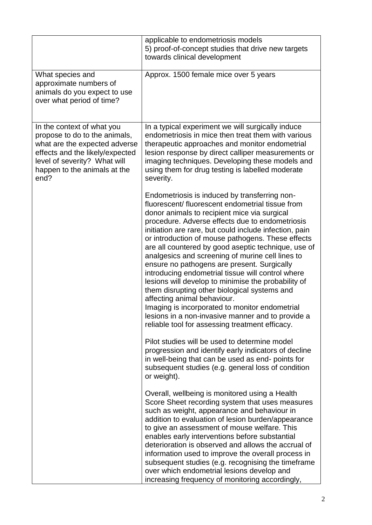|                                                                                                                                                                                                         | applicable to endometriosis models<br>5) proof-of-concept studies that drive new targets<br>towards clinical development                                                                                                                                                                                                                                                                                                                                                                                                                                                                                                                                                                                                                                                                                                                                                                                                                                                                       |
|---------------------------------------------------------------------------------------------------------------------------------------------------------------------------------------------------------|------------------------------------------------------------------------------------------------------------------------------------------------------------------------------------------------------------------------------------------------------------------------------------------------------------------------------------------------------------------------------------------------------------------------------------------------------------------------------------------------------------------------------------------------------------------------------------------------------------------------------------------------------------------------------------------------------------------------------------------------------------------------------------------------------------------------------------------------------------------------------------------------------------------------------------------------------------------------------------------------|
| What species and<br>approximate numbers of<br>animals do you expect to use<br>over what period of time?                                                                                                 | Approx. 1500 female mice over 5 years                                                                                                                                                                                                                                                                                                                                                                                                                                                                                                                                                                                                                                                                                                                                                                                                                                                                                                                                                          |
| In the context of what you<br>propose to do to the animals,<br>what are the expected adverse<br>effects and the likely/expected<br>level of severity? What will<br>happen to the animals at the<br>end? | In a typical experiment we will surgically induce<br>endometriosis in mice then treat them with various<br>therapeutic approaches and monitor endometrial<br>lesion response by direct calliper measurements or<br>imaging techniques. Developing these models and<br>using them for drug testing is labelled moderate<br>severity.                                                                                                                                                                                                                                                                                                                                                                                                                                                                                                                                                                                                                                                            |
|                                                                                                                                                                                                         | Endometriosis is induced by transferring non-<br>fluorescent/fluorescent endometrial tissue from<br>donor animals to recipient mice via surgical<br>procedure. Adverse effects due to endometriosis<br>initiation are rare, but could include infection, pain<br>or introduction of mouse pathogens. These effects<br>are all countered by good aseptic technique, use of<br>analgesics and screening of murine cell lines to<br>ensure no pathogens are present. Surgically<br>introducing endometrial tissue will control where<br>lesions will develop to minimise the probability of<br>them disrupting other biological systems and<br>affecting animal behaviour.<br>Imaging is incorporated to monitor endometrial<br>lesions in a non-invasive manner and to provide a<br>reliable tool for assessing treatment efficacy.<br>Pilot studies will be used to determine model<br>progression and identify early indicators of decline<br>in well-being that can be used as end-points for |
|                                                                                                                                                                                                         | subsequent studies (e.g. general loss of condition<br>or weight).<br>Overall, wellbeing is monitored using a Health<br>Score Sheet recording system that uses measures<br>such as weight, appearance and behaviour in<br>addition to evaluation of lesion burden/appearance<br>to give an assessment of mouse welfare. This<br>enables early interventions before substantial<br>deterioration is observed and allows the accrual of<br>information used to improve the overall process in<br>subsequent studies (e.g. recognising the timeframe<br>over which endometrial lesions develop and<br>increasing frequency of monitoring accordingly,                                                                                                                                                                                                                                                                                                                                              |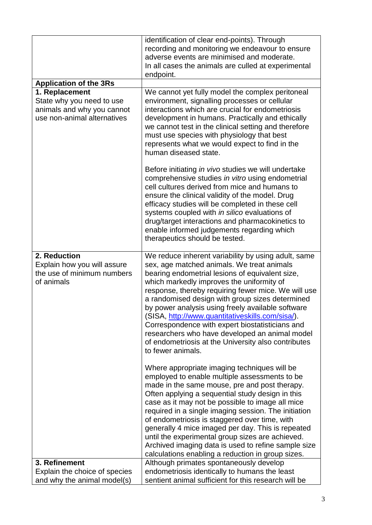|                                                                                                          | identification of clear end-points). Through<br>recording and monitoring we endeavour to ensure<br>adverse events are minimised and moderate.<br>In all cases the animals are culled at experimental<br>endpoint.                                                                                                                                                                                                                                                                                                                                                                                     |
|----------------------------------------------------------------------------------------------------------|-------------------------------------------------------------------------------------------------------------------------------------------------------------------------------------------------------------------------------------------------------------------------------------------------------------------------------------------------------------------------------------------------------------------------------------------------------------------------------------------------------------------------------------------------------------------------------------------------------|
| <b>Application of the 3Rs</b>                                                                            |                                                                                                                                                                                                                                                                                                                                                                                                                                                                                                                                                                                                       |
| 1. Replacement<br>State why you need to use<br>animals and why you cannot<br>use non-animal alternatives | We cannot yet fully model the complex peritoneal<br>environment, signalling processes or cellular<br>interactions which are crucial for endometriosis<br>development in humans. Practically and ethically<br>we cannot test in the clinical setting and therefore<br>must use species with physiology that best<br>represents what we would expect to find in the<br>human diseased state.                                                                                                                                                                                                            |
|                                                                                                          | Before initiating in vivo studies we will undertake<br>comprehensive studies in vitro using endometrial<br>cell cultures derived from mice and humans to<br>ensure the clinical validity of the model. Drug<br>efficacy studies will be completed in these cell<br>systems coupled with in silico evaluations of<br>drug/target interactions and pharmacokinetics to<br>enable informed judgements regarding which<br>therapeutics should be tested.                                                                                                                                                  |
| 2. Reduction<br>Explain how you will assure<br>the use of minimum numbers<br>of animals                  | We reduce inherent variability by using adult, same<br>sex, age matched animals. We treat animals<br>bearing endometrial lesions of equivalent size,<br>which markedly improves the uniformity of<br>response, thereby requiring fewer mice. We will use<br>a randomised design with group sizes determined<br>by power analysis using freely available software<br>(SISA, http://www.quantitativeskills.com/sisa/).<br>Correspondence with expert biostatisticians and<br>researchers who have developed an animal model<br>of endometriosis at the University also contributes<br>to fewer animals. |
|                                                                                                          | Where appropriate imaging techniques will be<br>employed to enable multiple assessments to be<br>made in the same mouse, pre and post therapy.<br>Often applying a sequential study design in this<br>case as it may not be possible to image all mice<br>required in a single imaging session. The initiation<br>of endometriosis is staggered over time, with<br>generally 4 mice imaged per day. This is repeated<br>until the experimental group sizes are achieved.<br>Archived imaging data is used to refine sample size<br>calculations enabling a reduction in group sizes.                  |
| 3. Refinement                                                                                            | Although primates spontaneously develop                                                                                                                                                                                                                                                                                                                                                                                                                                                                                                                                                               |
| Explain the choice of species<br>and why the animal model(s)                                             | endometriosis identically to humans the least<br>sentient animal sufficient for this research will be                                                                                                                                                                                                                                                                                                                                                                                                                                                                                                 |